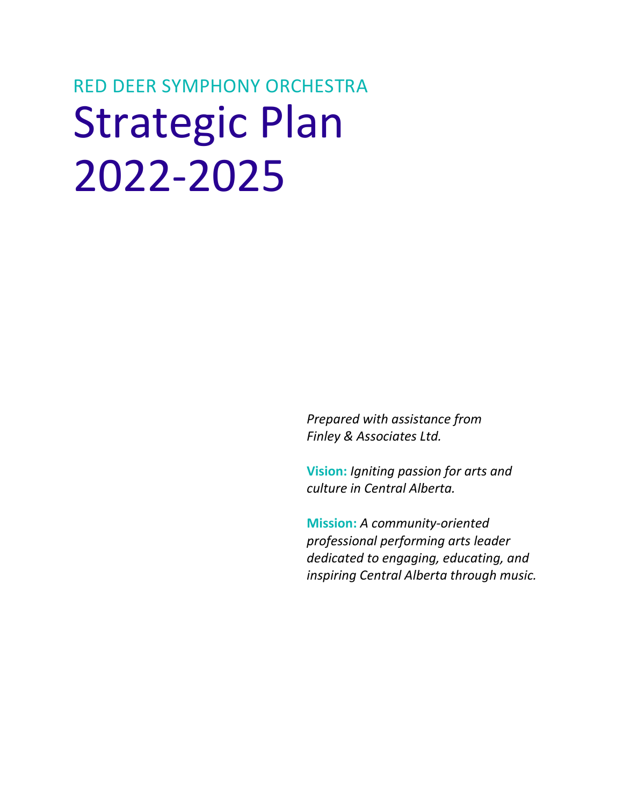# RED DEER SYMPHONY ORCHESTRA Strategic Plan 2022-2025

*Prepared with assistance from Finley & Associates Ltd.* 

**Vision:** *Igniting passion for arts and culture in Central Alberta.* 

**Mission:** *A community-oriented professional performing arts leader dedicated to engaging, educating, and inspiring Central Alberta through music.*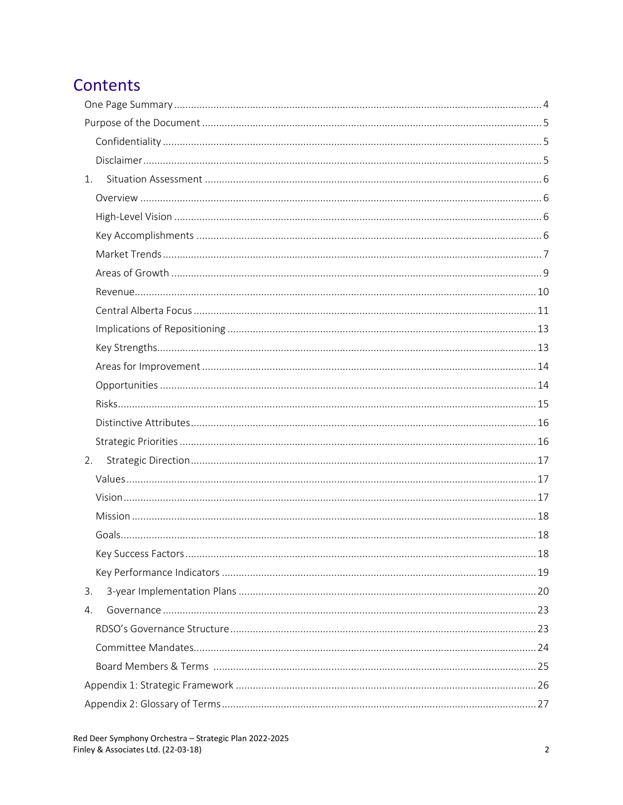## Contents

| 1. |  |
|----|--|
|    |  |
|    |  |
|    |  |
|    |  |
|    |  |
|    |  |
|    |  |
|    |  |
|    |  |
|    |  |
|    |  |
|    |  |
|    |  |
|    |  |
| 2. |  |
|    |  |
|    |  |
|    |  |
|    |  |
|    |  |
|    |  |
| 3. |  |
| 4. |  |
|    |  |
|    |  |
|    |  |
|    |  |
|    |  |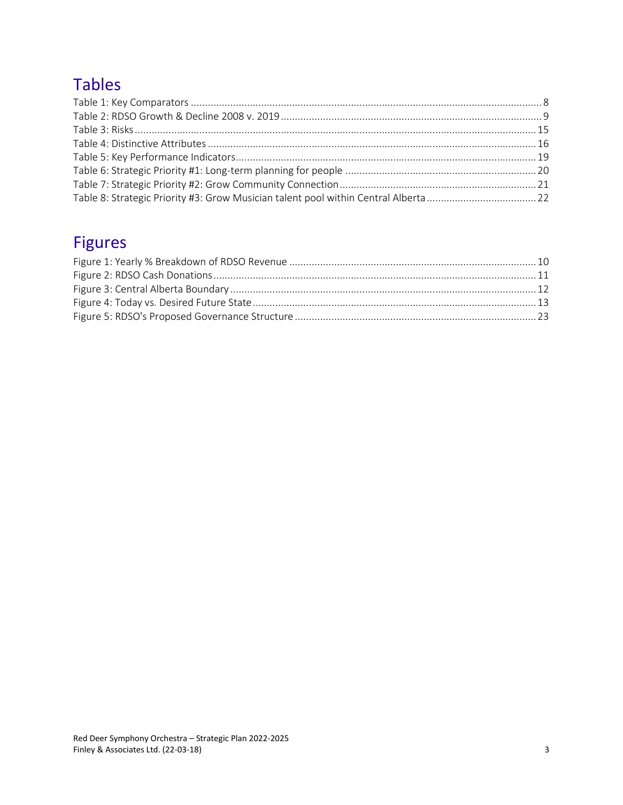## **Tables**

## **Figures**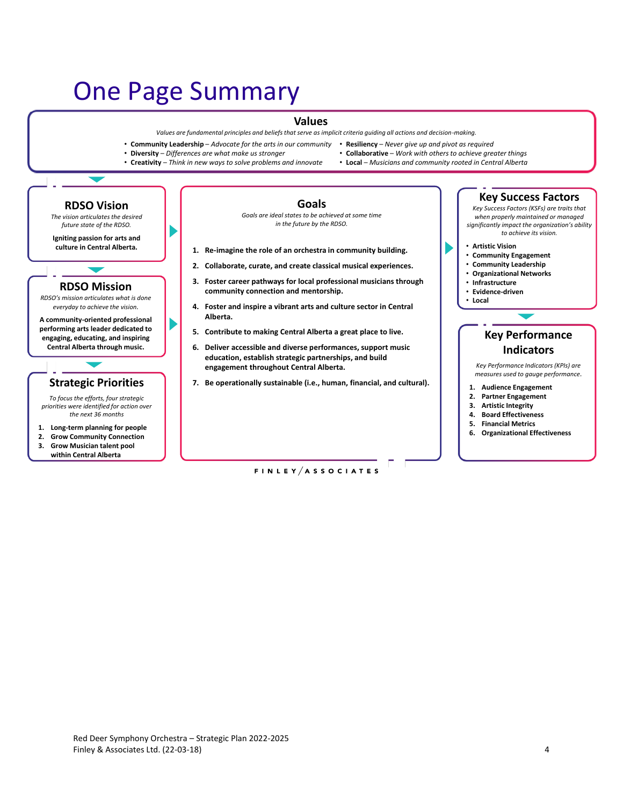## <span id="page-3-0"></span>One Page Summary

#### **Values**

*Values are fundamental principles and beliefs that serve as implicit criteria guiding all actions and decision-making.* 

- **Community Leadership**  *Advocate for the arts in our community* **Resiliency**  *Never give up and pivot as required*
	-
- **Diversity**  *Differences are what make us stronger*
- 
- **Creativity**  *Think in new ways to solve problems and innovate*
- **RDSO Vision** *The vision articulates the desired future state of the RDSO.* **Igniting passion for arts and culture in Central Alberta. RDSO Mission** *RDSO's mission articulates what is done everyday to achieve the vision.* **A community-oriented professional**

**performing arts leader dedicated to engaging, educating, and inspiring Central Alberta through music.** 

#### **Strategic Priorities**

*To focus the efforts, four strategic priorities were identified for action over the next 36 months*

- **1. Long-term planning for people**
- **2. Grow Community Connection**
- **3. Grow Musician talent pool within Central Alberta**

• **Collaborative** – *Work with others to achieve greater things*

• **Local** – *Musicians and community rooted in Central Alberta* 

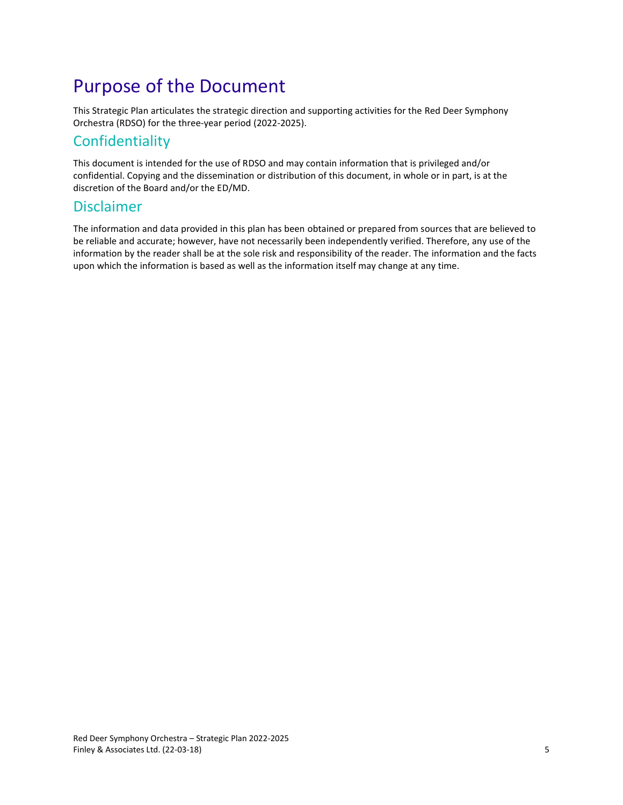## <span id="page-4-0"></span>Purpose of the Document

This Strategic Plan articulates the strategic direction and supporting activities for the Red Deer Symphony Orchestra (RDSO) for the three-year period (2022-2025).

## <span id="page-4-1"></span>Confidentiality

This document is intended for the use of RDSO and may contain information that is privileged and/or confidential. Copying and the dissemination or distribution of this document, in whole or in part, is at the discretion of the Board and/or the ED/MD.

### <span id="page-4-2"></span>Disclaimer

The information and data provided in this plan has been obtained or prepared from sources that are believed to be reliable and accurate; however, have not necessarily been independently verified. Therefore, any use of the information by the reader shall be at the sole risk and responsibility of the reader. The information and the facts upon which the information is based as well as the information itself may change at any time.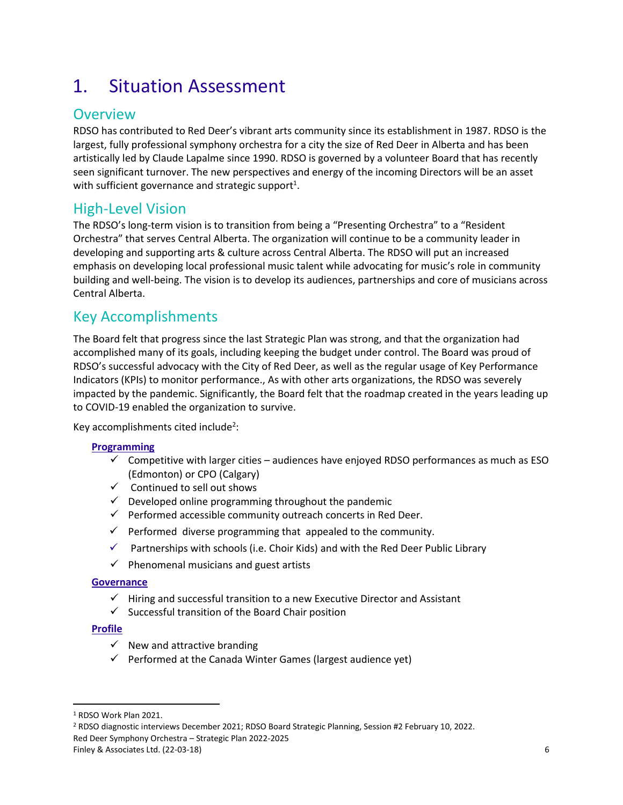## <span id="page-5-0"></span>1. Situation Assessment

## <span id="page-5-1"></span>**Overview**

RDSO has contributed to Red Deer's vibrant arts community since its establishment in 1987. RDSO is the largest, fully professional symphony orchestra for a city the size of Red Deer in Alberta and has been artistically led by Claude Lapalme since 1990. RDSO is governed by a volunteer Board that has recently seen significant turnover. The new perspectives and energy of the incoming Directors will be an asset with sufficient governance and strategic support<sup>1</sup>.

## <span id="page-5-2"></span>High-Level Vision

The RDSO's long-term vision is to transition from being a "Presenting Orchestra" to a "Resident Orchestra" that serves Central Alberta. The organization will continue to be a community leader in developing and supporting arts & culture across Central Alberta. The RDSO will put an increased emphasis on developing local professional music talent while advocating for music's role in community building and well-being. The vision is to develop its audiences, partnerships and core of musicians across Central Alberta.

## <span id="page-5-3"></span>Key Accomplishments

The Board felt that progress since the last Strategic Plan was strong, and that the organization had accomplished many of its goals, including keeping the budget under control. The Board was proud of RDSO's successful advocacy with the City of Red Deer, as well as the regular usage of Key Performance Indicators (KPIs) to monitor performance., As with other arts organizations, the RDSO was severely impacted by the pandemic. Significantly, the Board felt that the roadmap created in the years leading up to COVID-19 enabled the organization to survive.

Key accomplishments cited include<sup>2</sup>:

#### **Programming**

- $\checkmark$  Competitive with larger cities audiences have enjoyed RDSO performances as much as ESO (Edmonton) or CPO (Calgary)
- ✓ Continued to sell out shows
- $\checkmark$  Developed online programming throughout the pandemic
- ✓ Performed accessible community outreach concerts in Red Deer.
- $\checkmark$  Performed diverse programming that appealed to the community.
- $\checkmark$  Partnerships with schools (i.e. Choir Kids) and with the Red Deer Public Library
- $\checkmark$  Phenomenal musicians and guest artists

#### **Governance**

- ✓ Hiring and successful transition to a new Executive Director and Assistant
- $\checkmark$  Successful transition of the Board Chair position

#### **Profile**

- $\checkmark$  New and attractive branding
- ✓ Performed at the Canada Winter Games (largest audience yet)

Red Deer Symphony Orchestra – Strategic Plan 2022-2025

<sup>1</sup> RDSO Work Plan 2021.

<sup>2</sup> RDSO diagnostic interviews December 2021; RDSO Board Strategic Planning, Session #2 February 10, 2022.

Finley & Associates Ltd. (22-03-18) 6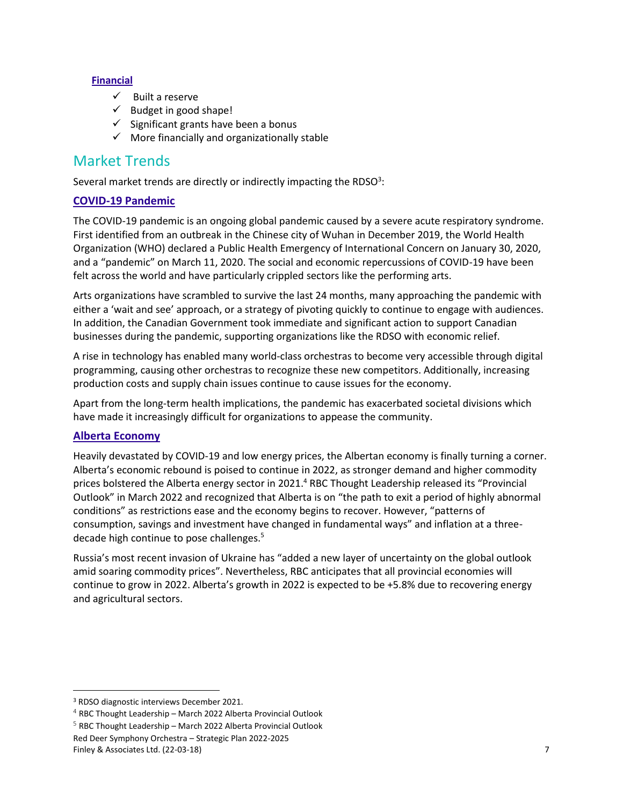#### **Financial**

- ✓ Built a reserve
- $\checkmark$  Budget in good shape!
- $\checkmark$  Significant grants have been a bonus
- $\checkmark$  More financially and organizationally stable

### <span id="page-6-0"></span>Market Trends

Several market trends are directly or indirectly impacting the RDSO<sup>3</sup>:

#### **COVID-19 Pandemic**

The COVID-19 pandemic is an ongoing global pandemic caused by a severe acute respiratory syndrome. First identified from an outbreak in the Chinese city of Wuhan in December 2019, the World Health Organization (WHO) declared a Public Health Emergency of International Concern on January 30, 2020, and a "pandemic" on March 11, 2020. The social and economic repercussions of COVID-19 have been felt across the world and have particularly crippled sectors like the performing arts.

Arts organizations have scrambled to survive the last 24 months, many approaching the pandemic with either a 'wait and see' approach, or a strategy of pivoting quickly to continue to engage with audiences. In addition, the Canadian Government took immediate and significant action to support Canadian businesses during the pandemic, supporting organizations like the RDSO with economic relief.

A rise in technology has enabled many world-class orchestras to become very accessible through digital programming, causing other orchestras to recognize these new competitors. Additionally, increasing production costs and supply chain issues continue to cause issues for the economy.

Apart from the long-term health implications, the pandemic has exacerbated societal divisions which have made it increasingly difficult for organizations to appease the community.

#### **Alberta Economy**

Heavily devastated by COVID-19 and low energy prices, the Albertan economy is finally turning a corner. Alberta's economic rebound is poised to continue in 2022, as stronger demand and higher commodity prices bolstered the Alberta energy sector in 2021.<sup>4</sup> RBC Thought Leadership released its "Provincial Outlook" in March 2022 and recognized that Alberta is on "the path to exit a period of highly abnormal conditions" as restrictions ease and the economy begins to recover. However, "patterns of consumption, savings and investment have changed in fundamental ways" and inflation at a threedecade high continue to pose challenges.<sup>5</sup>

Russia's most recent invasion of Ukraine has "added a new layer of uncertainty on the global outlook amid soaring commodity prices". Nevertheless, RBC anticipates that all provincial economies will continue to grow in 2022. Alberta's growth in 2022 is expected to be +5.8% due to recovering energy and agricultural sectors.

<sup>3</sup> RDSO diagnostic interviews December 2021.

 $4$  RBC Thought Leadership – March 2022 Alberta Provincial Outlook

<sup>&</sup>lt;sup>5</sup> RBC Thought Leadership – March 2022 Alberta Provincial Outlook

Red Deer Symphony Orchestra – Strategic Plan 2022-2025 Finley & Associates Ltd. (22-03-18) 7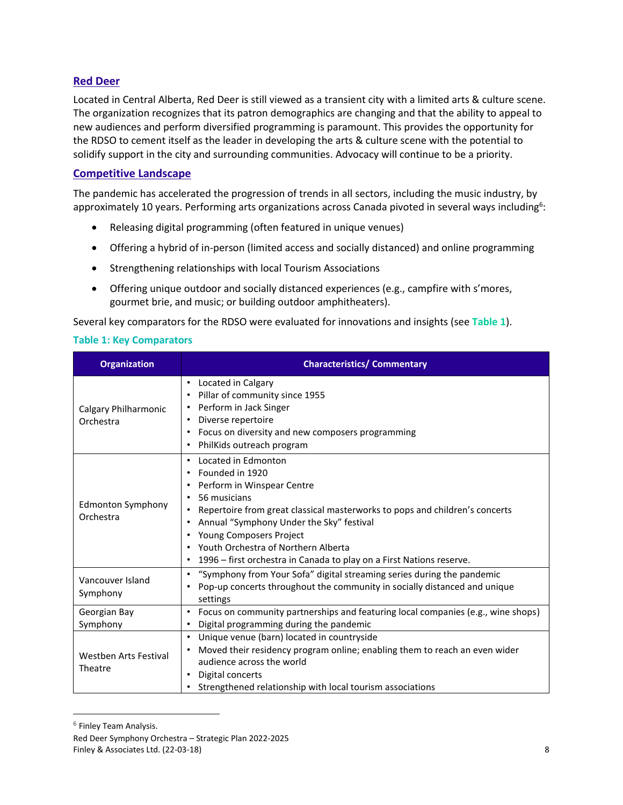#### **Red Deer**

Located in Central Alberta, Red Deer is still viewed as a transient city with a limited arts & culture scene. The organization recognizes that its patron demographics are changing and that the ability to appeal to new audiences and perform diversified programming is paramount. This provides the opportunity for the RDSO to cement itself as the leader in developing the arts & culture scene with the potential to solidify support in the city and surrounding communities. Advocacy will continue to be a priority.

#### **Competitive Landscape**

The pandemic has accelerated the progression of trends in all sectors, including the music industry, by approximately 10 years. Performing arts organizations across Canada pivoted in several ways including<sup>6</sup>:

- Releasing digital programming (often featured in unique venues)
- Offering a hybrid of in-person (limited access and socially distanced) and online programming
- Strengthening relationships with local Tourism Associations
- Offering unique outdoor and socially distanced experiences (e.g., campfire with s'mores, gourmet brie, and music; or building outdoor amphitheaters).

Several key comparators for the RDSO were evaluated for innovations and insights (see **[Table 1](#page-7-0)**).

#### <span id="page-7-0"></span>**Table 1: Key Comparators**

| <b>Organization</b>                   | <b>Characteristics/ Commentary</b>                                                                                                                                                                                                                                                                                                                                                                |
|---------------------------------------|---------------------------------------------------------------------------------------------------------------------------------------------------------------------------------------------------------------------------------------------------------------------------------------------------------------------------------------------------------------------------------------------------|
| Calgary Philharmonic<br>Orchestra     | • Located in Calgary<br>Pillar of community since 1955<br>$\bullet$<br>Perform in Jack Singer<br>Diverse repertoire<br>٠<br>Focus on diversity and new composers programming<br>$\bullet$<br>PhilKids outreach program                                                                                                                                                                            |
| <b>Edmonton Symphony</b><br>Orchestra | Located in Edmonton<br>$\bullet$<br>Founded in 1920<br>Perform in Winspear Centre<br>56 musicians<br>$\bullet$<br>Repertoire from great classical masterworks to pops and children's concerts<br>Annual "Symphony Under the Sky" festival<br><b>Young Composers Project</b><br>٠<br>• Youth Orchestra of Northern Alberta<br>1996 – first orchestra in Canada to play on a First Nations reserve. |
| Vancouver Island<br>Symphony          | "Symphony from Your Sofa" digital streaming series during the pandemic<br>Pop-up concerts throughout the community in socially distanced and unique<br>settings                                                                                                                                                                                                                                   |
| Georgian Bay<br>Symphony              | Focus on community partnerships and featuring local companies (e.g., wine shops)<br>$\bullet$<br>Digital programming during the pandemic                                                                                                                                                                                                                                                          |
| Westben Arts Festival<br>Theatre      | Unique venue (barn) located in countryside<br>$\bullet$<br>Moved their residency program online; enabling them to reach an even wider<br>audience across the world<br>Digital concerts<br>$\bullet$<br>Strengthened relationship with local tourism associations                                                                                                                                  |

<sup>&</sup>lt;sup>6</sup> Finley Team Analysis.

Red Deer Symphony Orchestra – Strategic Plan 2022-2025 Finley & Associates Ltd. (22-03-18) 8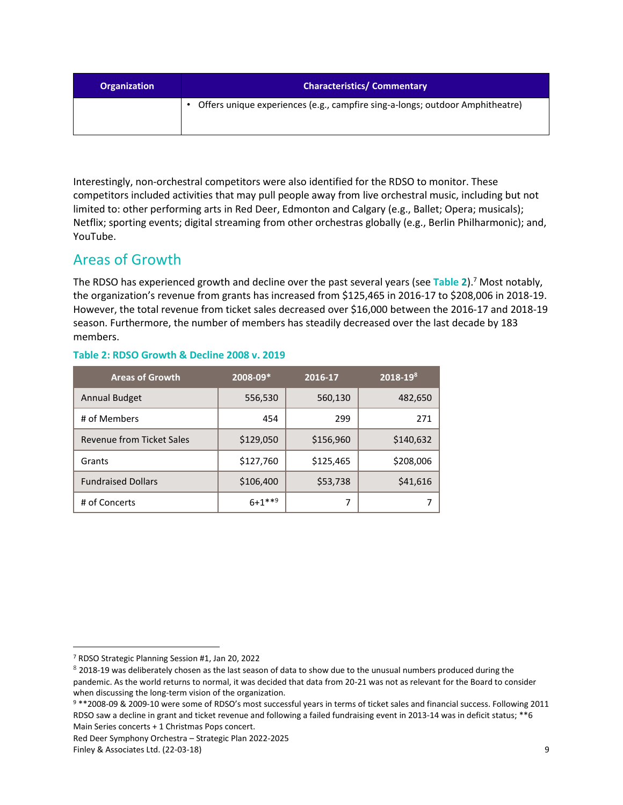| <b>Organization</b> | <b>Characteristics/ Commentary</b>                                            |
|---------------------|-------------------------------------------------------------------------------|
|                     | Offers unique experiences (e.g., campfire sing-a-longs; outdoor Amphitheatre) |

Interestingly, non-orchestral competitors were also identified for the RDSO to monitor. These competitors included activities that may pull people away from live orchestral music, including but not limited to: other performing arts in Red Deer, Edmonton and Calgary (e.g., Ballet; Opera; musicals); Netflix; sporting events; digital streaming from other orchestras globally (e.g., Berlin Philharmonic); and, YouTube.

## <span id="page-8-0"></span>Areas of Growth

The RDSO has experienced growth and decline over the past several years (see **[Table 2](#page-8-1)**). <sup>7</sup> Most notably, the organization's revenue from grants has increased from \$125,465 in 2016-17 to \$208,006 in 2018-19. However, the total revenue from ticket sales decreased over \$16,000 between the 2016-17 and 2018-19 season. Furthermore, the number of members has steadily decreased over the last decade by 183 members.

#### <span id="page-8-1"></span>**Table 2: RDSO Growth & Decline 2008 v. 2019**

| <b>Areas of Growth</b>           | 2008-09*    | 2016-17   | $2018 - 198$ |
|----------------------------------|-------------|-----------|--------------|
| <b>Annual Budget</b>             | 556,530     | 560,130   | 482,650      |
| # of Members                     | 454         | 299       | 271          |
| <b>Revenue from Ticket Sales</b> | \$129,050   | \$156,960 | \$140,632    |
| Grants                           | \$127,760   | \$125,465 | \$208,006    |
| <b>Fundraised Dollars</b>        | \$106,400   | \$53,738  | \$41,616     |
| # of Concerts                    | $6 + 1$ **9 | 7         |              |

<sup>7</sup> RDSO Strategic Planning Session #1, Jan 20, 2022

 $8$  2018-19 was deliberately chosen as the last season of data to show due to the unusual numbers produced during the pandemic. As the world returns to normal, it was decided that data from 20-21 was not as relevant for the Board to consider when discussing the long-term vision of the organization.

<sup>9</sup> \*\*2008-09 & 2009-10 were some of RDSO's most successful years in terms of ticket sales and financial success. Following 2011 RDSO saw a decline in grant and ticket revenue and following a failed fundraising event in 2013-14 was in deficit status; \*\*6 Main Series concerts + 1 Christmas Pops concert.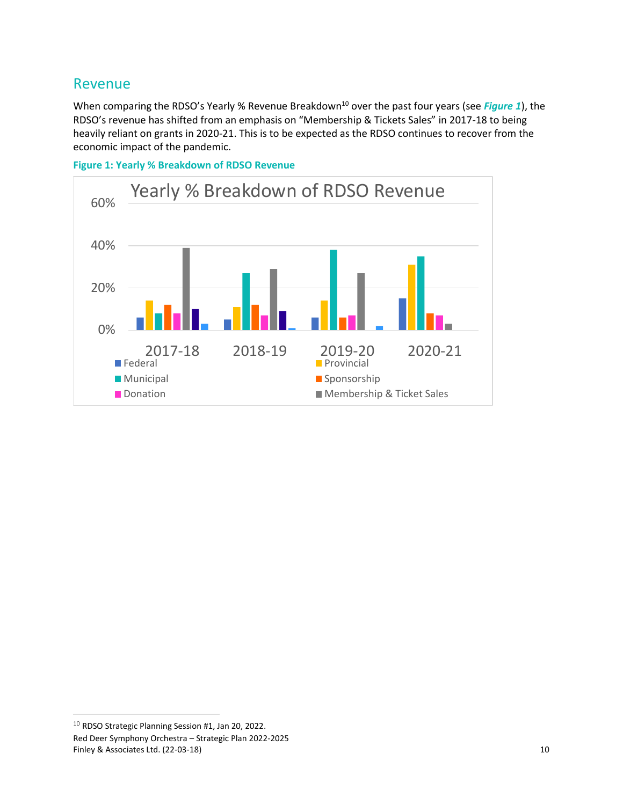### <span id="page-9-0"></span>Revenue

When comparing the RDSO's Yearly % Revenue Breakdown<sup>10</sup> over the past four years (see *[Figure 1](#page-9-1)*), the RDSO's revenue has shifted from an emphasis on "Membership & Tickets Sales" in 2017-18 to being heavily reliant on grants in 2020-21. This is to be expected as the RDSO continues to recover from the economic impact of the pandemic.



<span id="page-9-1"></span>**Figure 1: Yearly % Breakdown of RDSO Revenue**

Red Deer Symphony Orchestra – Strategic Plan 2022-2025 Finley & Associates Ltd. (22-03-18) 10 <sup>10</sup> RDSO Strategic Planning Session #1, Jan 20, 2022.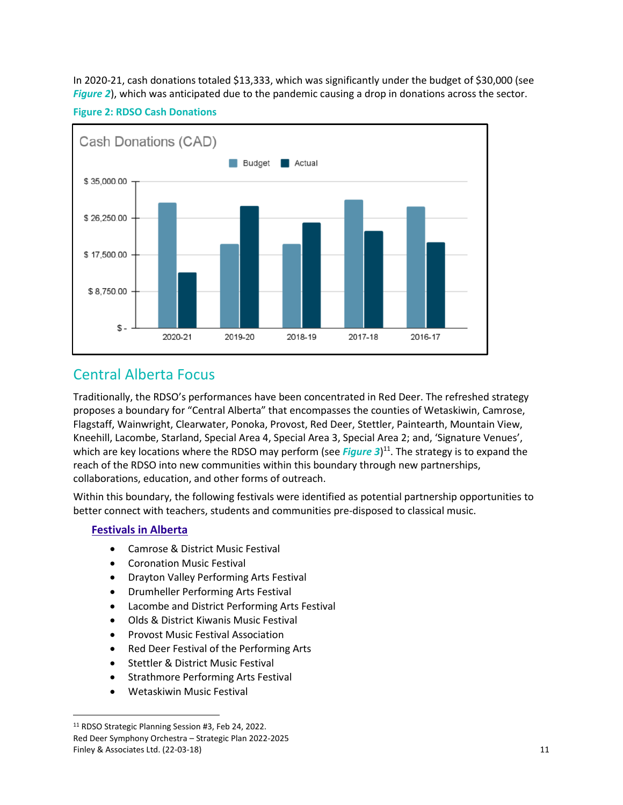In 2020-21, cash donations totaled \$13,333, which was significantly under the budget of \$30,000 (see *[Figure 2](#page-10-1)*), which was anticipated due to the pandemic causing a drop in donations across the sector.

#### <span id="page-10-1"></span>**Figure 2: RDSO Cash Donations**



## <span id="page-10-0"></span>Central Alberta Focus

Traditionally, the RDSO's performances have been concentrated in Red Deer. The refreshed strategy proposes a boundary for "Central Alberta" that encompasses the counties of Wetaskiwin, Camrose, Flagstaff, Wainwright, Clearwater, Ponoka, Provost, Red Deer, Stettler, Paintearth, Mountain View, Kneehill, Lacombe, Starland, Special Area 4, Special Area 3, Special Area 2; and, 'Signature Venues', which are key locations where the RDSO may perform (see *[Figure 3](#page-11-0)*)<sup>11</sup>. The strategy is to expand the reach of the RDSO into new communities within this boundary through new partnerships, collaborations, education, and other forms of outreach.

Within this boundary, the following festivals were identified as potential partnership opportunities to better connect with teachers, students and communities pre-disposed to classical music.

#### **Festivals in Alberta**

- Camrose & District Music Festival
- Coronation Music Festival
- Drayton Valley Performing Arts Festival
- Drumheller Performing Arts Festival
- Lacombe and District Performing Arts Festival
- Olds & District Kiwanis Music Festival
- Provost Music Festival Association
- Red Deer Festival of the Performing Arts
- Stettler & District Music Festival
- Strathmore Performing Arts Festival
- Wetaskiwin Music Festival

Red Deer Symphony Orchestra – Strategic Plan 2022-2025 Finley & Associates Ltd. (22-03-18) 11 <sup>11</sup> RDSO Strategic Planning Session #3, Feb 24, 2022.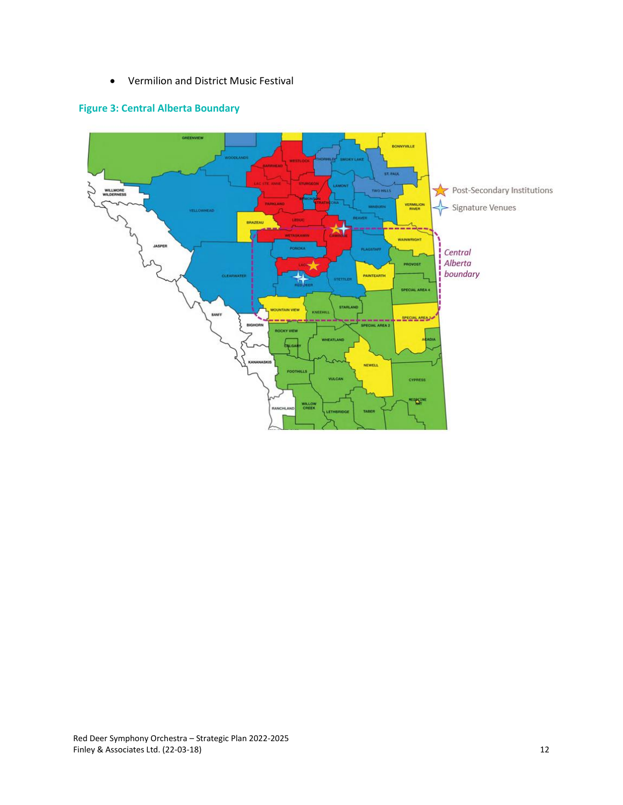• Vermilion and District Music Festival

#### <span id="page-11-0"></span>**Figure 3: Central Alberta Boundary**

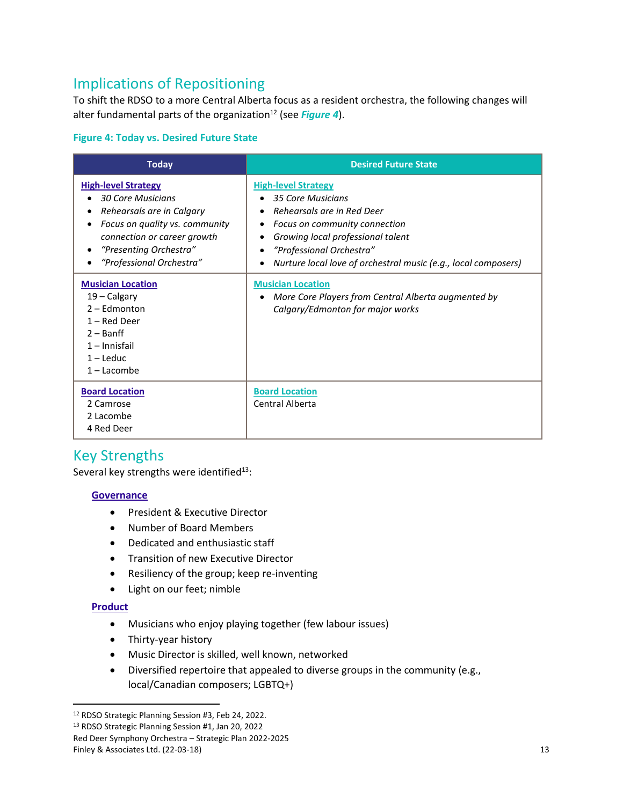## <span id="page-12-0"></span>Implications of Repositioning

To shift the RDSO to a more Central Alberta focus as a resident orchestra, the following changes will alter fundamental parts of the organization<sup>12</sup> (see *[Figure 4](#page-12-2)*).

#### <span id="page-12-2"></span>**Figure 4: Today vs. Desired Future State**

| <b>Today</b>                                                                                                                                                                                               | <b>Desired Future State</b>                                                                                                                                                                                                                       |
|------------------------------------------------------------------------------------------------------------------------------------------------------------------------------------------------------------|---------------------------------------------------------------------------------------------------------------------------------------------------------------------------------------------------------------------------------------------------|
| <b>High-level Strategy</b><br><b>30 Core Musicians</b><br>Rehearsals are in Calgary<br>Focus on quality vs. community<br>connection or career growth<br>"Presenting Orchestra"<br>"Professional Orchestra" | <b>High-level Strategy</b><br>35 Core Musicians<br>Rehearsals are in Red Deer<br>Focus on community connection<br>Growing local professional talent<br>"Professional Orchestra"<br>Nurture local love of orchestral music (e.g., local composers) |
| <b>Musician Location</b><br>19 – Calgary<br>$2 -$ Edmonton<br>1 – Red Deer<br>$2 -$ Banff<br>$1$ – Innisfail<br>$1 -$ Leduc<br>$1 -$ Lacombe                                                               | <b>Musician Location</b><br>More Core Players from Central Alberta augmented by<br>Calgary/Edmonton for major works                                                                                                                               |
| <b>Board Location</b><br>2 Camrose<br>2 Lacombe<br>4 Red Deer                                                                                                                                              | <b>Board Location</b><br>Central Alberta                                                                                                                                                                                                          |

## <span id="page-12-1"></span>Key Strengths

Several key strengths were identified $13$ :

#### **Governance**

- President & Executive Director
- Number of Board Members
- Dedicated and enthusiastic staff
- Transition of new Executive Director
- Resiliency of the group; keep re-inventing
- Light on our feet; nimble

#### **Product**

- Musicians who enjoy playing together (few labour issues)
- Thirty-year history
- Music Director is skilled, well known, networked
- Diversified repertoire that appealed to diverse groups in the community (e.g., local/Canadian composers; LGBTQ+)

<sup>12</sup> RDSO Strategic Planning Session #3, Feb 24, 2022.

<sup>13</sup> RDSO Strategic Planning Session #1, Jan 20, 2022

Red Deer Symphony Orchestra – Strategic Plan 2022-2025

Finley & Associates Ltd. (22-03-18) 13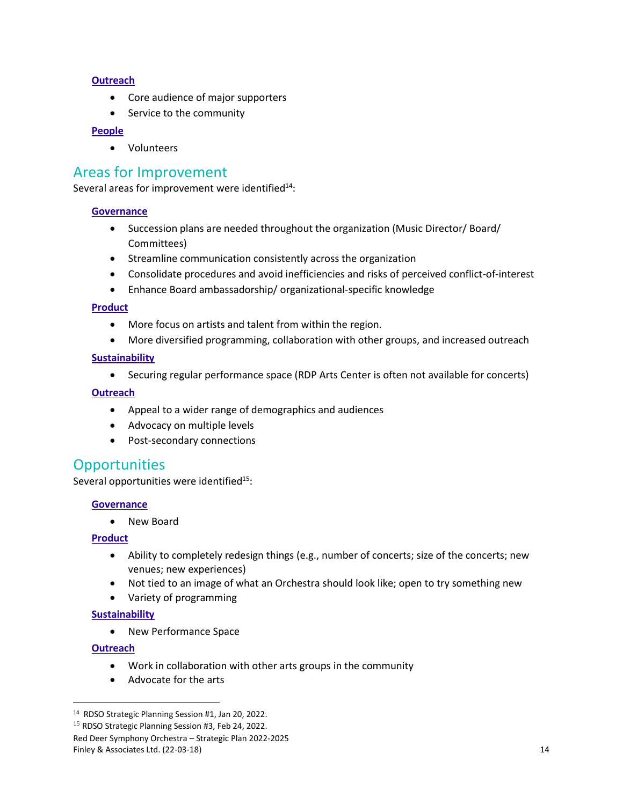#### **Outreach**

- Core audience of major supporters
- Service to the community

#### **People**

• Volunteers

### <span id="page-13-0"></span>Areas for Improvement

Several areas for improvement were identified $14$ :

#### **Governance**

- Succession plans are needed throughout the organization (Music Director/ Board/ Committees)
- Streamline communication consistently across the organization
- Consolidate procedures and avoid inefficiencies and risks of perceived conflict-of-interest
- Enhance Board ambassadorship/ organizational-specific knowledge

#### **Product**

- More focus on artists and talent from within the region.
- More diversified programming, collaboration with other groups, and increased outreach

#### **Sustainability**

• Securing regular performance space (RDP Arts Center is often not available for concerts)

#### **Outreach**

- Appeal to a wider range of demographics and audiences
- Advocacy on multiple levels
- Post-secondary connections

### <span id="page-13-1"></span>**Opportunities**

Several opportunities were identified<sup>15</sup>:

#### **Governance**

• New Board

#### **Product**

- Ability to completely redesign things (e.g., number of concerts; size of the concerts; new venues; new experiences)
- Not tied to an image of what an Orchestra should look like; open to try something new
- Variety of programming

#### **Sustainability**

• New Performance Space

#### **Outreach**

- Work in collaboration with other arts groups in the community
- Advocate for the arts

<sup>14</sup> RDSO Strategic Planning Session #1, Jan 20, 2022.

<sup>&</sup>lt;sup>15</sup> RDSO Strategic Planning Session #3, Feb 24, 2022.

Red Deer Symphony Orchestra – Strategic Plan 2022-2025

Finley & Associates Ltd. (22-03-18) 14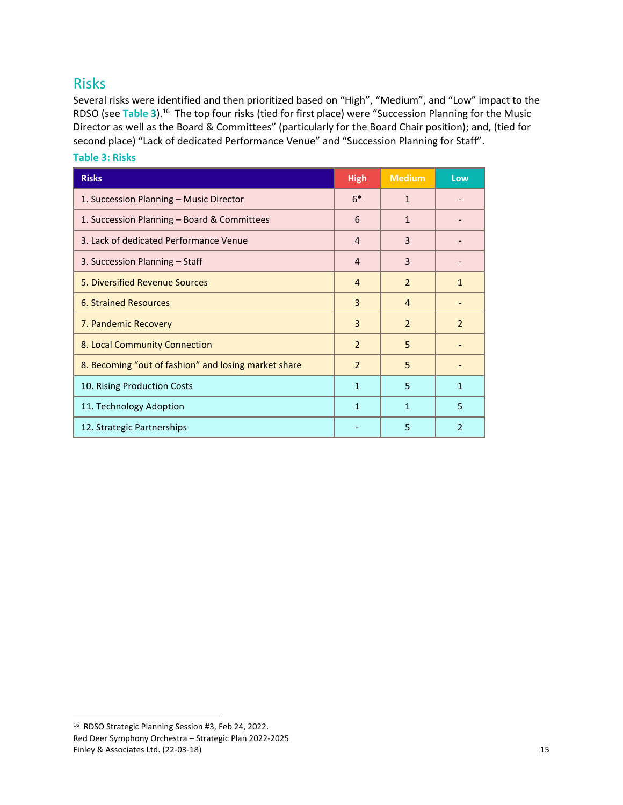### <span id="page-14-0"></span>Risks

Several risks were identified and then prioritized based on "High", "Medium", and "Low" impact to the RDSO (see **[Table](#page-14-1) 3**).<sup>16</sup> The top four risks (tied for first place) were "Succession Planning for the Music Director as well as the Board & Committees" (particularly for the Board Chair position); and, (tied for second place) "Lack of dedicated Performance Venue" and "Succession Planning for Staff".

| <b>Risks</b>                                         | <b>High</b>    | <b>Medium</b>  | Low            |
|------------------------------------------------------|----------------|----------------|----------------|
| 1. Succession Planning - Music Director              | $6*$           | $\mathbf{1}$   |                |
| 1. Succession Planning - Board & Committees          | 6              | 1              |                |
| 3. Lack of dedicated Performance Venue               | 4              | 3              |                |
| 3. Succession Planning - Staff                       | $\overline{4}$ | 3              |                |
| 5. Diversified Revenue Sources                       | $\overline{4}$ | $\overline{2}$ | 1              |
| <b>6. Strained Resources</b>                         | 3              | $\overline{4}$ |                |
| 7. Pandemic Recovery                                 | 3              | 2              | $\mathcal{P}$  |
| 8. Local Community Connection                        | $\overline{2}$ | 5              |                |
| 8. Becoming "out of fashion" and losing market share | $\overline{2}$ | 5              |                |
| 10. Rising Production Costs                          | $\mathbf{1}$   | 5              | 1              |
| 11. Technology Adoption                              | $\mathbf{1}$   | $\mathbf{1}$   | 5              |
| 12. Strategic Partnerships                           |                | 5              | $\overline{2}$ |

#### <span id="page-14-1"></span>**Table 3: Risks**

Red Deer Symphony Orchestra – Strategic Plan 2022-2025 Finley & Associates Ltd. (22-03-18) 15 <sup>16</sup> RDSO Strategic Planning Session #3, Feb 24, 2022.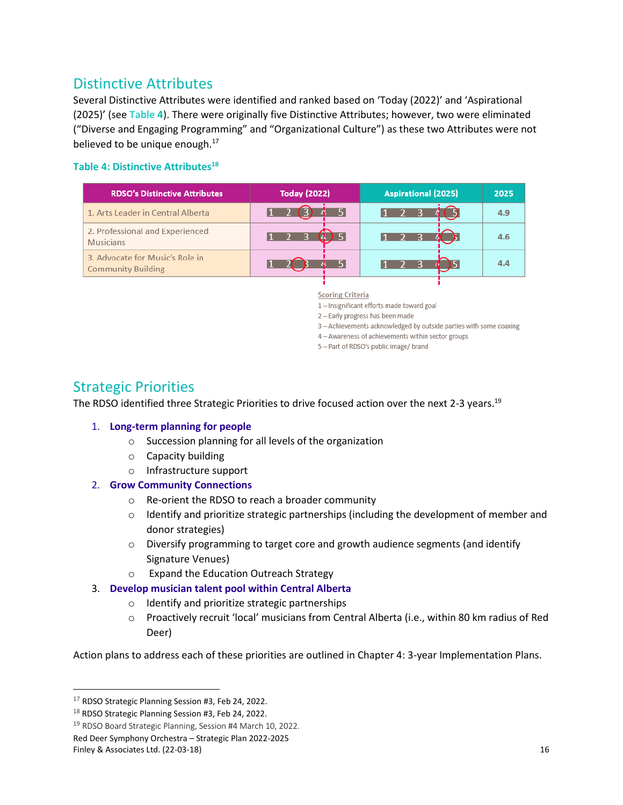## <span id="page-15-0"></span>Distinctive Attributes

Several Distinctive Attributes were identified and ranked based on 'Today (2022)' and 'Aspirational (2025)' (see **[Table](#page-15-3) 4**). There were originally five Distinctive Attributes; however, two were eliminated ("Diverse and Engaging Programming" and "Organizational Culture") as these two Attributes were not believed to be unique enough. $^{17}$ 

#### <span id="page-15-2"></span>**Table 4: Distinctive Attributes<sup>18</sup>**

<span id="page-15-3"></span>

| <b>RDSO's Distinctive Attributes</b>                         | <b>Today (2022)</b> | <b>Aspirational (2025)</b> | 2025 |
|--------------------------------------------------------------|---------------------|----------------------------|------|
| 1. Arts Leader in Central Alberta                            |                     |                            | 4.9  |
| 2. Professional and Experienced<br><b>Musicians</b>          |                     |                            | 4.6  |
| 3. Advocate for Music's Role in<br><b>Community Building</b> |                     |                            |      |

**Scoring Criteria** 

1- Insignificant efforts made toward goal

2 - Early progress has been made

- 3 Achievements acknowledged by outside parties with some coaxing
- 4 Awareness of achievements within sector groups
- 5 Part of RDSO's public image/ brand

## <span id="page-15-1"></span>Strategic Priorities

The RDSO identified three Strategic Priorities to drive focused action over the next 2-3 years.<sup>19</sup>

#### 1. **Long-term planning for people**

- o Succession planning for all levels of the organization
- o Capacity building
- o Infrastructure support

#### 2. **Grow Community Connections**

- o Re-orient the RDSO to reach a broader community
- $\circ$  Identify and prioritize strategic partnerships (including the development of member and donor strategies)
- $\circ$  Diversify programming to target core and growth audience segments (and identify Signature Venues)
- o Expand the Education Outreach Strategy
- 3. **Develop musician talent pool within Central Alberta**
	- o Identify and prioritize strategic partnerships
	- o Proactively recruit 'local' musicians from Central Alberta (i.e., within 80 km radius of Red Deer)

Action plans to address each of these priorities are outlined in Chapter 4: 3-year Implementation Plans.

<sup>&</sup>lt;sup>17</sup> RDSO Strategic Planning Session #3, Feb 24, 2022.

 $18$  RDSO Strategic Planning Session #3, Feb 24, 2022.

<sup>19</sup> RDSO Board Strategic Planning, Session #4 March 10, 2022.

Red Deer Symphony Orchestra – Strategic Plan 2022-2025

Finley & Associates Ltd. (22-03-18) 16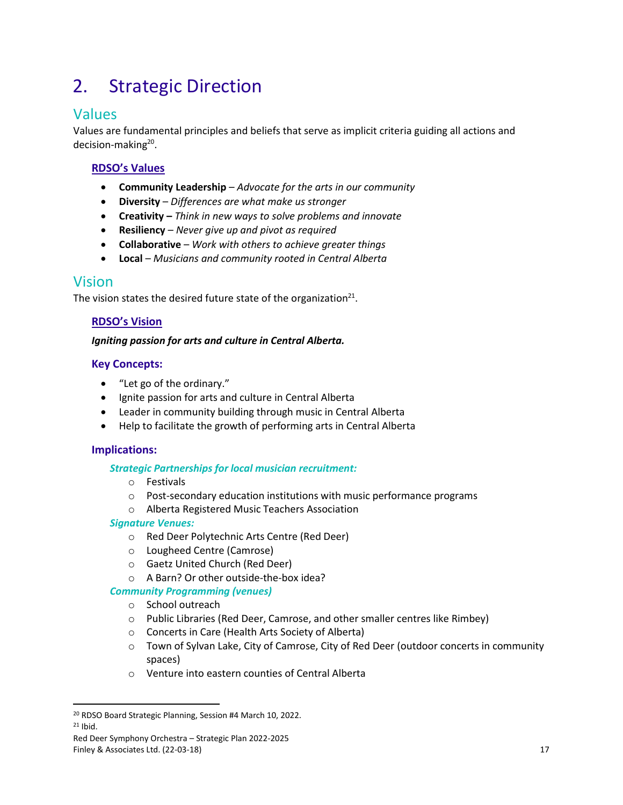## <span id="page-16-0"></span>2. Strategic Direction

## <span id="page-16-1"></span>Values

Values are fundamental principles and beliefs that serve as implicit criteria guiding all actions and decision-making<sup>20</sup>.

#### **RDSO's Values**

- **Community Leadership**  *Advocate for the arts in our community*
- **Diversity**  *Differences are what make us stronger*
- **Creativity –** *Think in new ways to solve problems and innovate*
- **Resiliency**  *Never give up and pivot as required*
- **Collaborative**  *Work with others to achieve greater things*
- **Local**  *Musicians and community rooted in Central Alberta*

### <span id="page-16-2"></span>Vision

The vision states the desired future state of the organization<sup>21</sup>.

#### **RDSO's Vision**

#### *Igniting passion for arts and culture in Central Alberta.*

#### **Key Concepts:**

- "Let go of the ordinary."
- Ignite passion for arts and culture in Central Alberta
- Leader in community building through music in Central Alberta
- Help to facilitate the growth of performing arts in Central Alberta

#### **Implications:**

#### *Strategic Partnerships for local musician recruitment:*

- o Festivals
- $\circ$  Post-secondary education institutions with music performance programs
- o Alberta Registered Music Teachers Association

#### *Signature Venues:*

- o Red Deer Polytechnic Arts Centre (Red Deer)
- o Lougheed Centre (Camrose)
- o Gaetz United Church (Red Deer)
- o A Barn? Or other outside-the-box idea?

#### *Community Programming (venues)*

- o School outreach
- o Public Libraries (Red Deer, Camrose, and other smaller centres like Rimbey)
- o Concerts in Care (Health Arts Society of Alberta)
- $\circ$  Town of Sylvan Lake, City of Camrose, City of Red Deer (outdoor concerts in community spaces)
- o Venture into eastern counties of Central Alberta

<sup>20</sup> RDSO Board Strategic Planning, Session #4 March 10, 2022.  $21$  Ibid.

Red Deer Symphony Orchestra – Strategic Plan 2022-2025 Finley & Associates Ltd. (22-03-18) 17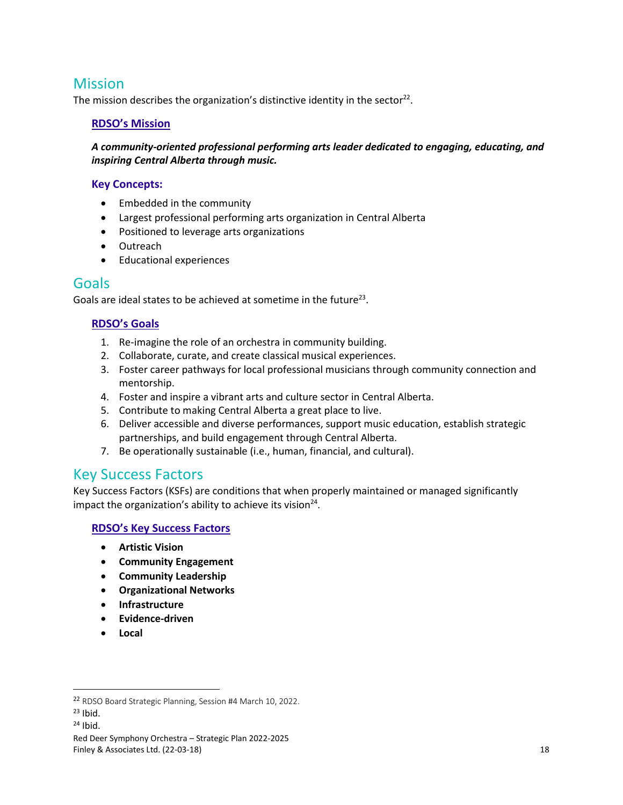## <span id="page-17-0"></span>**Mission**

The mission describes the organization's distinctive identity in the sector<sup>22</sup>.

#### **RDSO's Mission**

*A community-oriented professional performing arts leader dedicated to engaging, educating, and inspiring Central Alberta through music.* 

#### **Key Concepts:**

- Embedded in the community
- Largest professional performing arts organization in Central Alberta
- Positioned to leverage arts organizations
- Outreach
- Educational experiences

#### <span id="page-17-1"></span>Goals

Goals are ideal states to be achieved at sometime in the future<sup>23</sup>.

#### **RDSO's Goals**

- 1. Re-imagine the role of an orchestra in community building.
- 2. Collaborate, curate, and create classical musical experiences.
- 3. Foster career pathways for local professional musicians through community connection and mentorship.
- 4. Foster and inspire a vibrant arts and culture sector in Central Alberta.
- 5. Contribute to making Central Alberta a great place to live.
- 6. Deliver accessible and diverse performances, support music education, establish strategic partnerships, and build engagement through Central Alberta.
- 7. Be operationally sustainable (i.e., human, financial, and cultural).

### <span id="page-17-2"></span>Key Success Factors

Key Success Factors (KSFs) are conditions that when properly maintained or managed significantly impact the organization's ability to achieve its vision $^{24}$ .

#### **RDSO's Key Success Factors**

- **Artistic Vision**
- **Community Engagement**
- **Community Leadership**
- **Organizational Networks**
- **Infrastructure**
- **Evidence-driven**
- **Local**

<sup>22</sup> RDSO Board Strategic Planning, Session #4 March 10, 2022.

 $23$  Ibid.

 $24$  Ibid.

Red Deer Symphony Orchestra – Strategic Plan 2022-2025 Finley & Associates Ltd. (22-03-18) 18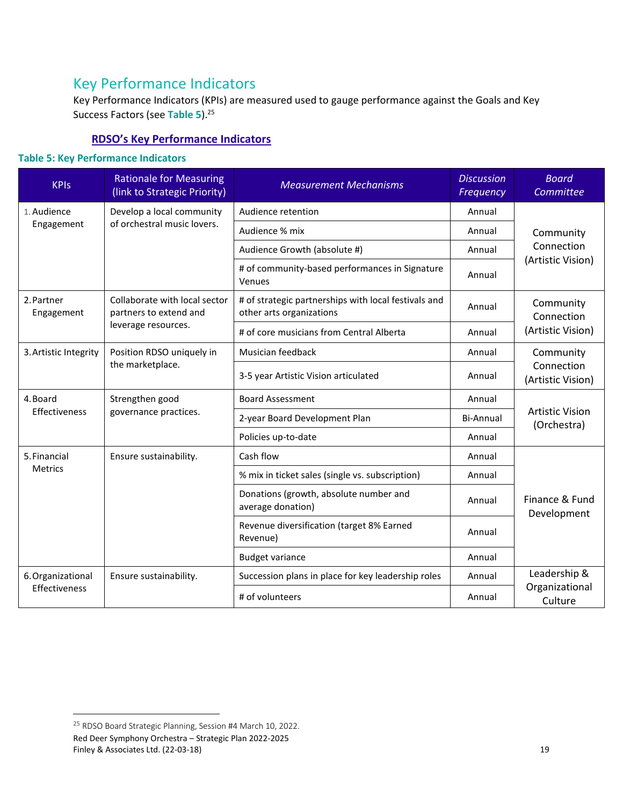## <span id="page-18-0"></span>Key Performance Indicators

Key Performance Indicators (KPIs) are measured used to gauge performance against the Goals and Key Success Factors (see **[Table](#page-18-1) 5**).<sup>25</sup>

#### **RDSO's Key Performance Indicators**

#### <span id="page-18-1"></span>**Table 5: Key Performance Indicators**

| <b>KPIs</b>               | <b>Rationale for Measuring</b><br>(link to Strategic Priority) | <b>Measurement Mechanisms</b>                                                    | <b>Discussion</b><br>Frequency | <b>Board</b><br>Committee             |
|---------------------------|----------------------------------------------------------------|----------------------------------------------------------------------------------|--------------------------------|---------------------------------------|
| 1. Audience               | Develop a local community                                      | Audience retention                                                               | Annual                         |                                       |
| Engagement                | of orchestral music lovers.                                    | Audience % mix                                                                   | Annual                         | Community<br>Connection               |
|                           |                                                                | Audience Growth (absolute #)                                                     | Annual                         |                                       |
|                           |                                                                | # of community-based performances in Signature<br>Venues                         | Annual                         | (Artistic Vision)                     |
| 2. Partner<br>Engagement  | Collaborate with local sector<br>partners to extend and        | # of strategic partnerships with local festivals and<br>other arts organizations | Annual                         | Community<br>Connection               |
|                           | leverage resources.                                            | # of core musicians from Central Alberta                                         | Annual                         | (Artistic Vision)                     |
| 3. Artistic Integrity     | Position RDSO uniquely in                                      | Musician feedback                                                                | Annual                         | Community                             |
|                           | the marketplace.                                               | 3-5 year Artistic Vision articulated                                             | Annual                         | Connection<br>(Artistic Vision)       |
| 4. Board<br>Effectiveness | Strengthen good<br>governance practices.                       | <b>Board Assessment</b>                                                          | Annual                         | <b>Artistic Vision</b><br>(Orchestra) |
|                           |                                                                | 2-year Board Development Plan                                                    | Bi-Annual                      |                                       |
|                           |                                                                | Policies up-to-date                                                              | Annual                         |                                       |
| 5. Financial              | Ensure sustainability.                                         | Cash flow                                                                        | Annual                         |                                       |
| <b>Metrics</b>            |                                                                | % mix in ticket sales (single vs. subscription)                                  | Annual                         | Finance & Fund<br>Development         |
|                           |                                                                | Donations (growth, absolute number and<br>average donation)                      | Annual                         |                                       |
|                           |                                                                | Revenue diversification (target 8% Earned<br>Revenue)                            | Annual                         |                                       |
|                           |                                                                | <b>Budget variance</b>                                                           | Annual                         |                                       |
| 6. Organizational         | Ensure sustainability.                                         | Succession plans in place for key leadership roles                               | Annual                         | Leadership &                          |
| Effectiveness             |                                                                | # of volunteers                                                                  | Annual                         | Organizational<br>Culture             |

Red Deer Symphony Orchestra – Strategic Plan 2022-2025 Finley & Associates Ltd. (22-03-18) 19 <sup>25</sup> RDSO Board Strategic Planning, Session #4 March 10, 2022.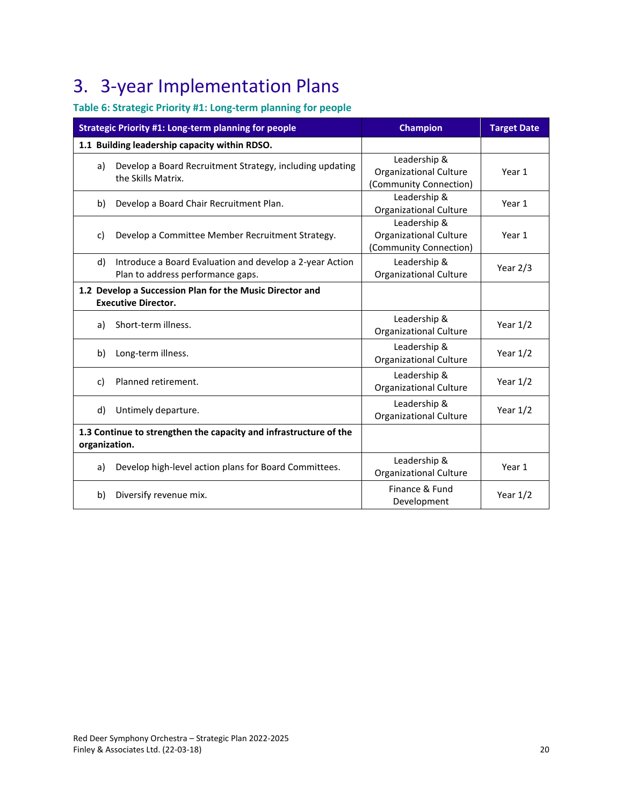## <span id="page-19-0"></span>3. 3-year Implementation Plans

### <span id="page-19-1"></span>**Table 6: Strategic Priority #1: Long-term planning for people**

| Strategic Priority #1: Long-term planning for people |                                                                                               | <b>Champion</b>                                                         | <b>Target Date</b> |
|------------------------------------------------------|-----------------------------------------------------------------------------------------------|-------------------------------------------------------------------------|--------------------|
|                                                      | 1.1 Building leadership capacity within RDSO.                                                 |                                                                         |                    |
| a)                                                   | Develop a Board Recruitment Strategy, including updating<br>the Skills Matrix.                | Leadership &<br><b>Organizational Culture</b><br>(Community Connection) | Year 1             |
| b)                                                   | Develop a Board Chair Recruitment Plan.                                                       | Leadership &<br><b>Organizational Culture</b>                           | Year 1             |
| c)                                                   | Develop a Committee Member Recruitment Strategy.                                              | Leadership &<br><b>Organizational Culture</b><br>(Community Connection) | Year 1             |
| d)                                                   | Introduce a Board Evaluation and develop a 2-year Action<br>Plan to address performance gaps. | Leadership &<br><b>Organizational Culture</b>                           | Year $2/3$         |
|                                                      | 1.2 Develop a Succession Plan for the Music Director and<br><b>Executive Director.</b>        |                                                                         |                    |
| a)                                                   | Short-term illness.                                                                           | Leadership &<br><b>Organizational Culture</b>                           | Year $1/2$         |
| b)                                                   | Long-term illness.                                                                            | Leadership &<br><b>Organizational Culture</b>                           | Year $1/2$         |
| c)                                                   | Planned retirement.                                                                           | Leadership &<br><b>Organizational Culture</b>                           | Year $1/2$         |
| d)                                                   | Untimely departure.                                                                           | Leadership &<br><b>Organizational Culture</b>                           | Year $1/2$         |
| organization.                                        | 1.3 Continue to strengthen the capacity and infrastructure of the                             |                                                                         |                    |
| a)                                                   | Develop high-level action plans for Board Committees.                                         | Leadership &<br><b>Organizational Culture</b>                           | Year 1             |
| b)                                                   | Diversify revenue mix.                                                                        | Finance & Fund<br>Development                                           | Year $1/2$         |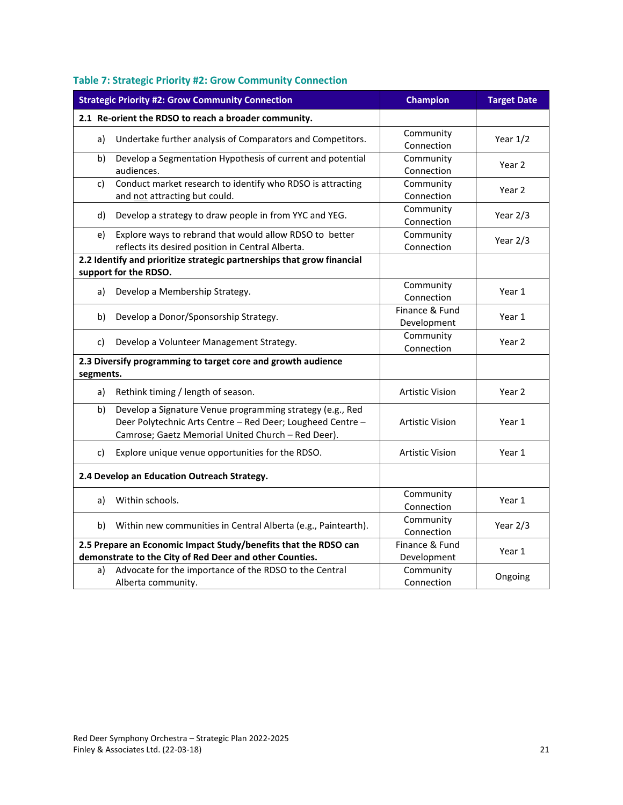| <b>Strategic Priority #2: Grow Community Connection</b>         |                                                                                                                                                                               | <b>Champion</b>               | <b>Target Date</b> |
|-----------------------------------------------------------------|-------------------------------------------------------------------------------------------------------------------------------------------------------------------------------|-------------------------------|--------------------|
|                                                                 | 2.1 Re-orient the RDSO to reach a broader community.                                                                                                                          |                               |                    |
| a)                                                              | Undertake further analysis of Comparators and Competitors.                                                                                                                    | Community<br>Connection       | Year $1/2$         |
| b)                                                              | Develop a Segmentation Hypothesis of current and potential<br>audiences.                                                                                                      | Community<br>Connection       | Year 2             |
| c)                                                              | Conduct market research to identify who RDSO is attracting<br>and not attracting but could.                                                                                   | Community<br>Connection       | Year <sub>2</sub>  |
| d)                                                              | Develop a strategy to draw people in from YYC and YEG.                                                                                                                        | Community<br>Connection       | Year $2/3$         |
| e)                                                              | Explore ways to rebrand that would allow RDSO to better<br>reflects its desired position in Central Alberta.                                                                  | Community<br>Connection       | Year $2/3$         |
|                                                                 | 2.2 Identify and prioritize strategic partnerships that grow financial                                                                                                        |                               |                    |
|                                                                 | support for the RDSO.                                                                                                                                                         |                               |                    |
| a)                                                              | Develop a Membership Strategy.                                                                                                                                                | Community<br>Connection       | Year 1             |
| b)                                                              | Develop a Donor/Sponsorship Strategy.                                                                                                                                         | Finance & Fund<br>Development | Year 1             |
| c)                                                              | Develop a Volunteer Management Strategy.                                                                                                                                      | Community<br>Connection       | Year 2             |
| segments.                                                       | 2.3 Diversify programming to target core and growth audience                                                                                                                  |                               |                    |
| a)                                                              | Rethink timing / length of season.                                                                                                                                            | <b>Artistic Vision</b>        | Year 2             |
| b)                                                              | Develop a Signature Venue programming strategy (e.g., Red<br>Deer Polytechnic Arts Centre - Red Deer; Lougheed Centre -<br>Camrose; Gaetz Memorial United Church - Red Deer). | <b>Artistic Vision</b>        | Year 1             |
| c)                                                              | Explore unique venue opportunities for the RDSO.                                                                                                                              | <b>Artistic Vision</b>        | Year 1             |
|                                                                 | 2.4 Develop an Education Outreach Strategy.                                                                                                                                   |                               |                    |
| a)                                                              | Within schools.                                                                                                                                                               | Community<br>Connection       | Year 1             |
| b)                                                              | Within new communities in Central Alberta (e.g., Paintearth).                                                                                                                 | Community<br>Connection       | Year 2/3           |
| 2.5 Prepare an Economic Impact Study/benefits that the RDSO can |                                                                                                                                                                               | Finance & Fund                | Year 1             |
|                                                                 | demonstrate to the City of Red Deer and other Counties.                                                                                                                       | Development                   |                    |
| a)                                                              | Advocate for the importance of the RDSO to the Central<br>Alberta community.                                                                                                  | Community<br>Connection       | Ongoing            |

### <span id="page-20-0"></span>**Table 7: Strategic Priority #2: Grow Community Connection**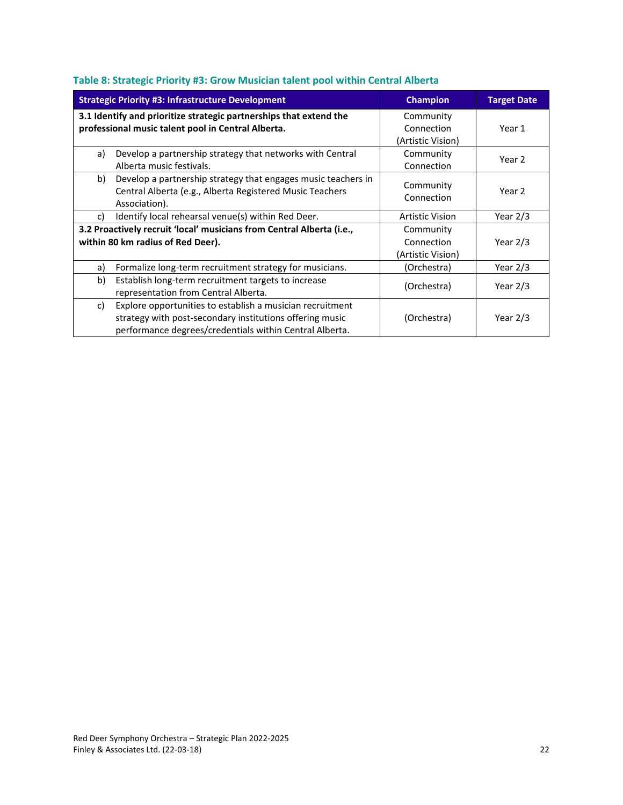|    | <b>Strategic Priority #3: Infrastructure Development</b>                                                                                                                         | <b>Champion</b>                              | <b>Target Date</b> |
|----|----------------------------------------------------------------------------------------------------------------------------------------------------------------------------------|----------------------------------------------|--------------------|
|    | 3.1 Identify and prioritize strategic partnerships that extend the<br>professional music talent pool in Central Alberta.                                                         | Community<br>Connection<br>(Artistic Vision) | Year 1             |
| a) | Develop a partnership strategy that networks with Central<br>Alberta music festivals.                                                                                            | Community<br>Connection                      | Year 2             |
| b) | Develop a partnership strategy that engages music teachers in<br>Central Alberta (e.g., Alberta Registered Music Teachers<br>Association).                                       | Community<br>Connection                      | Year 2             |
| c) | Identify local rehearsal venue(s) within Red Deer.                                                                                                                               | <b>Artistic Vision</b>                       | Year $2/3$         |
|    | 3.2 Proactively recruit 'local' musicians from Central Alberta (i.e.,<br>within 80 km radius of Red Deer).                                                                       | Community<br>Connection<br>(Artistic Vision) | Year $2/3$         |
| a) | Formalize long-term recruitment strategy for musicians.                                                                                                                          | (Orchestra)                                  | Year $2/3$         |
| b) | Establish long-term recruitment targets to increase<br>representation from Central Alberta.                                                                                      | (Orchestra)                                  | Year $2/3$         |
| c) | Explore opportunities to establish a musician recruitment<br>strategy with post-secondary institutions offering music<br>performance degrees/credentials within Central Alberta. | (Orchestra)                                  | Year $2/3$         |

#### <span id="page-21-0"></span>**Table 8: Strategic Priority #3: Grow Musician talent pool within Central Alberta**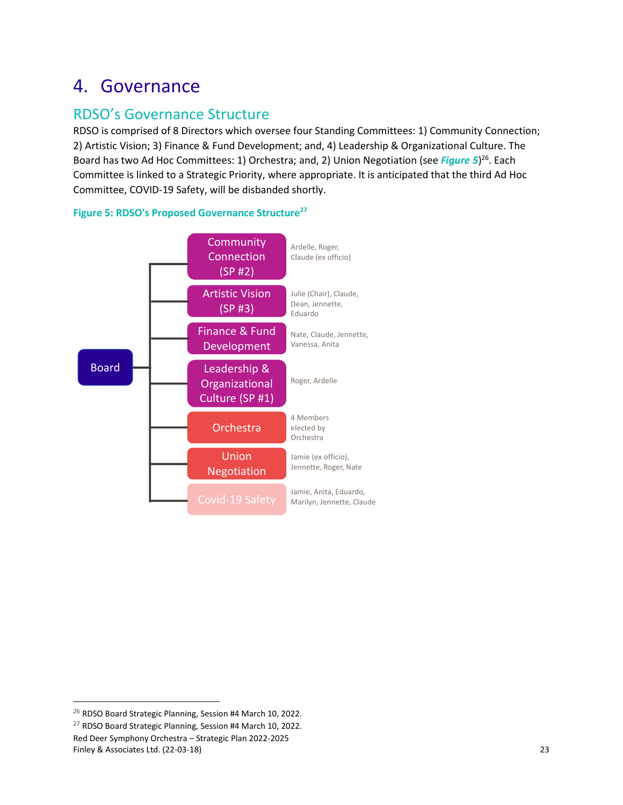## <span id="page-22-0"></span>4. Governance

## <span id="page-22-1"></span>RDSO's Governance Structure

RDSO is comprised of 8 Directors which oversee four Standing Committees: 1) Community Connection; 2) Artistic Vision; 3) Finance & Fund Development; and, 4) Leadership & Organizational Culture. The Board has two Ad Hoc Committees: 1) Orchestra; and, 2) Union Negotiation (see [Figure 5](#page-22-2))<sup>26</sup>. Each Committee is linked to a Strategic Priority, where appropriate. It is anticipated that the third Ad Hoc Committee, COVID-19 Safety, will be disbanded shortly.



<span id="page-22-2"></span>

<sup>&</sup>lt;sup>26</sup> RDSO Board Strategic Planning, Session #4 March 10, 2022.

Red Deer Symphony Orchestra – Strategic Plan 2022-2025 Finley & Associates Ltd. (22-03-18) 23 <sup>27</sup> RDSO Board Strategic Planning, Session #4 March 10, 2022.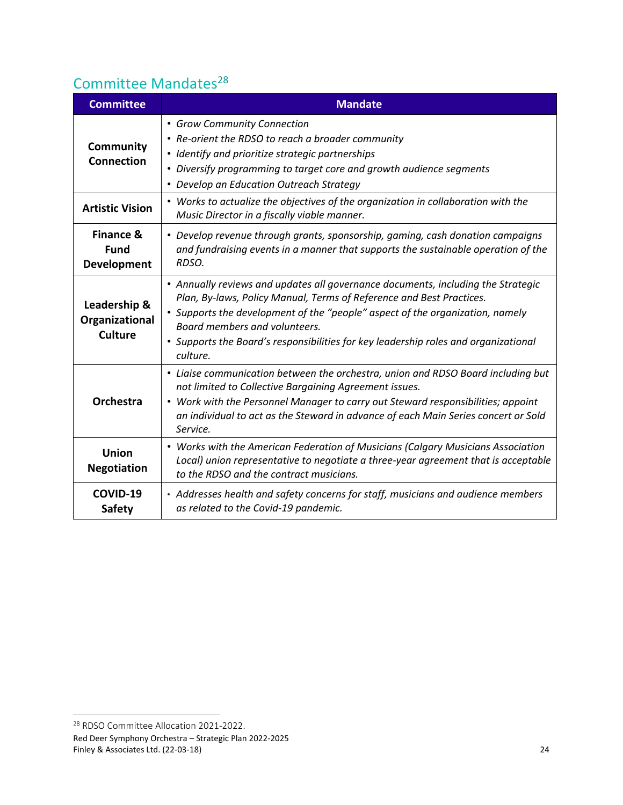## <span id="page-23-0"></span>Committee Mandates<sup>28</sup>

| <b>Committee</b>                                          | <b>Mandate</b>                                                                                                                                                                                                                                                                                                                                                                |  |  |
|-----------------------------------------------------------|-------------------------------------------------------------------------------------------------------------------------------------------------------------------------------------------------------------------------------------------------------------------------------------------------------------------------------------------------------------------------------|--|--|
| Community<br><b>Connection</b>                            | • Grow Community Connection<br>• Re-orient the RDSO to reach a broader community<br>• Identify and prioritize strategic partnerships<br>• Diversify programming to target core and growth audience segments<br>• Develop an Education Outreach Strategy                                                                                                                       |  |  |
| <b>Artistic Vision</b>                                    | • Works to actualize the objectives of the organization in collaboration with the<br>Music Director in a fiscally viable manner.                                                                                                                                                                                                                                              |  |  |
| <b>Finance &amp;</b><br><b>Fund</b><br><b>Development</b> | • Develop revenue through grants, sponsorship, gaming, cash donation campaigns<br>and fundraising events in a manner that supports the sustainable operation of the<br>RDSO.                                                                                                                                                                                                  |  |  |
| Leadership &<br>Organizational<br><b>Culture</b>          | • Annually reviews and updates all governance documents, including the Strategic<br>Plan, By-laws, Policy Manual, Terms of Reference and Best Practices.<br>• Supports the development of the "people" aspect of the organization, namely<br>Board members and volunteers.<br>• Supports the Board's responsibilities for key leadership roles and organizational<br>culture. |  |  |
| <b>Orchestra</b>                                          | • Liaise communication between the orchestra, union and RDSO Board including but<br>not limited to Collective Bargaining Agreement issues.<br>• Work with the Personnel Manager to carry out Steward responsibilities; appoint<br>an individual to act as the Steward in advance of each Main Series concert or Sold<br>Service.                                              |  |  |
| <b>Union</b><br><b>Negotiation</b>                        | • Works with the American Federation of Musicians (Calgary Musicians Association<br>Local) union representative to negotiate a three-year agreement that is acceptable<br>to the RDSO and the contract musicians.                                                                                                                                                             |  |  |
| COVID-19<br><b>Safety</b>                                 | • Addresses health and safety concerns for staff, musicians and audience members<br>as related to the Covid-19 pandemic.                                                                                                                                                                                                                                                      |  |  |

Red Deer Symphony Orchestra – Strategic Plan 2022-2025 Finley & Associates Ltd. (22-03-18) 24 <sup>28</sup> RDSO Committee Allocation 2021-2022.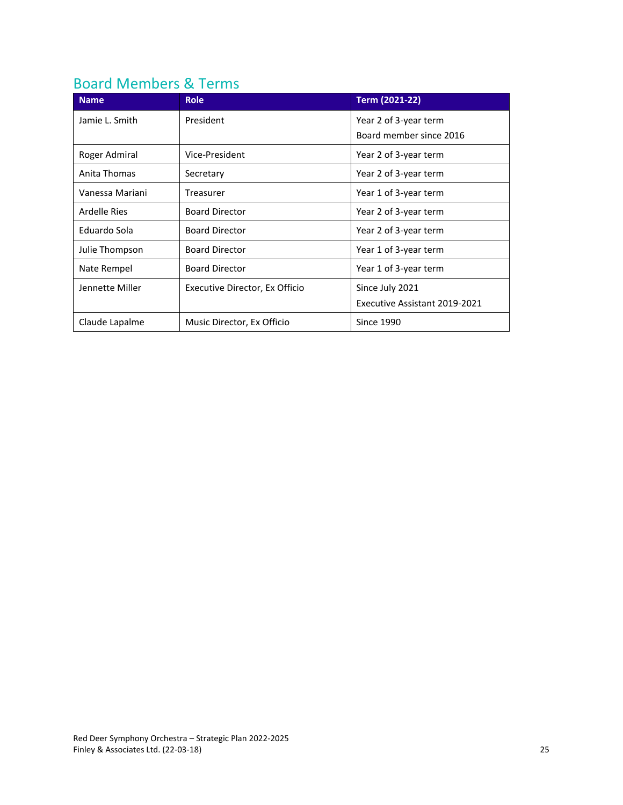## <span id="page-24-0"></span>Board Members & Terms

| <b>Name</b>     | <b>Role</b>                    | <b>Term (2021-22)</b>         |
|-----------------|--------------------------------|-------------------------------|
| Jamie L. Smith  | President                      | Year 2 of 3-year term         |
|                 |                                | Board member since 2016       |
| Roger Admiral   | Vice-President                 | Year 2 of 3-year term         |
| Anita Thomas    | Secretary                      | Year 2 of 3-year term         |
| Vanessa Mariani | Treasurer                      | Year 1 of 3-year term         |
| Ardelle Ries    | <b>Board Director</b>          | Year 2 of 3-year term         |
| Eduardo Sola    | <b>Board Director</b>          | Year 2 of 3-year term         |
| Julie Thompson  | <b>Board Director</b>          | Year 1 of 3-year term         |
| Nate Rempel     | <b>Board Director</b>          | Year 1 of 3-year term         |
| Jennette Miller | Executive Director, Ex Officio | Since July 2021               |
|                 |                                | Executive Assistant 2019-2021 |
| Claude Lapalme  | Music Director, Ex Officio     | <b>Since 1990</b>             |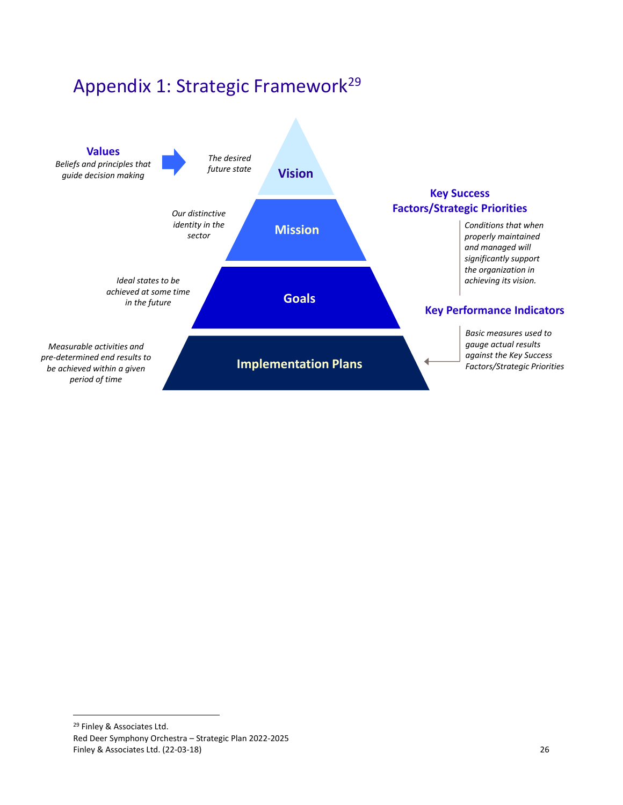<span id="page-25-0"></span>



Red Deer Symphony Orchestra – Strategic Plan 2022-2025 Finley & Associates Ltd. (22-03-18) 26 <sup>29</sup> Finley & Associates Ltd.